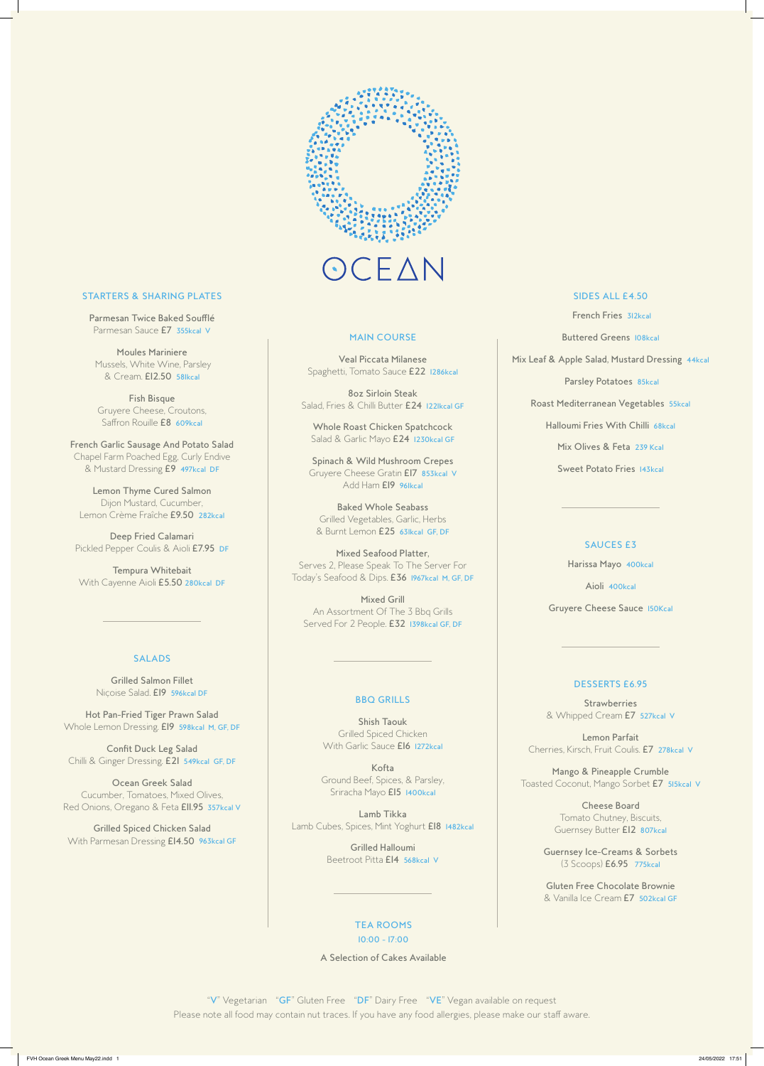

# CEAN

# **STARTERS & SHARING PLATES**

Parmesan Twice Baked Soufflé Parmesan Sauce E7 355kcal V

**Moules Mariniere** Mussels, White Wine, Parsley & Cream. £12.50 58Ikcal

Fish Bisque Gruyere Cheese, Croutons, Saffron Rouille **E8 609kcal** 

French Garlic Sausage And Potato Salad Chapel Farm Poached Egg, Curly Endive & Mustard Dressing E9 497kcal DF

Lemon Thyme Cured Salmon Dijon Mustard, Cucumber, Lemon Crème Fraîche £9.50 282kcal

Deep Fried Calamari Pickled Pepper Coulis & Aioli E7.95 DF

Tempura Whitebait With Cayenne Aioli £5.50 280kcal DF

# **SALADS**

**Grilled Salmon Fillet** Nicoise Salad. El9 596kcal DF

Hot Pan-Fried Tiger Prawn Salad Whole Lemon Dressing. EI9 598kcal M, GF, DF

**Confit Duck Leg Salad** Chilli & Ginger Dressing. E21 549kcal GF, DF

#### **MAIN COURSE**

**Veal Piccata Milanese** Spaghetti, Tomato Sauce £22 1286kcal

**8oz Sirloin Steak** Salad, Fries & Chilli Butter £24 122Ikcal GF

Whole Roast Chicken Spatchcock Salad & Garlic Mayo £24 1230kcal GF

Spinach & Wild Mushroom Crepes Gruyere Cheese Gratin El7 853kcal V Add Ham EI9 96Ikcal

**Baked Whole Seabass** Grilled Vegetables, Garlic, Herbs & Burnt Lemon £25 63Ikcal GF, DF

Mixed Seafood Platter, Serves 2, Please Speak To The Server For Today's Seafood & Dips. E36 1967kcal M, GF, DF

**Mixed Grill** An Assortment Of The 3 Bbq Grills Served For 2 People. E32 1398kcal GF, DF

## **BBQ GRILLS**

**Shish Taouk Grilled Spiced Chicken** With Garlic Sauce El6 1272kcal

Kofta Ground Beef, Spices, & Parsley, Sriracha Mayo E15 1400kcal

## **SIDES ALL £4.50**

French Fries 312kcal

**Buttered Greens 108kcal** 

Mix Leaf & Apple Salad, Mustard Dressing 44kcal

Parsley Potatoes 85kcal

Roast Mediterranean Vegetables 55kcal

Halloumi Fries With Chilli 68kcal

Mix Olives & Feta 239 Kcal

Sweet Potato Fries 143kcal

#### **SAUCES E3**

Harissa Mayo 400kcal

Aioli 400kcal

Gruyere Cheese Sauce 150Kcal

#### **DESSERTS E6.95**

**Strawberries** & Whipped Cream E7 527kcal V

Lemon Parfait Cherries, Kirsch, Fruit Coulis. E7 278kcal V

Mango & Pineapple Crumble

Ocean Greek Salad Cucumber, Tomatoes, Mixed Olives, Red Onions, Oregano & Feta Ell.95 357kcal V

**Grilled Spiced Chicken Salad** With Parmesan Dressing £14.50 963kcal GF

Lamb Tikka Lamb Cubes, Spices, Mint Yoghurt E18 1482kcal

> **Grilled Halloumi** Beetroot Pitta EI4 568kcal V

#### **TEA ROOMS**

 $10:00 - 17:00$ 

A Selection of Cakes Available

"V" Vegetarian "GF" Gluten Free "DF" Dairy Free "VE" Vegan available on request Please note all food may contain nut traces. If you have any food allergies, please make our staff aware.

Toasted Coconut, Mango Sorbet E7 515kcal V

**Cheese Board** Tomato Chutney, Biscuits, Guernsey Butter El2 807kcal

**Guernsey Ice-Creams & Sorbets** (3 Scoops) E6.95 775kcal

Gluten Free Chocolate Brownie & Vanilla Ice Cream E7 502kcal GF